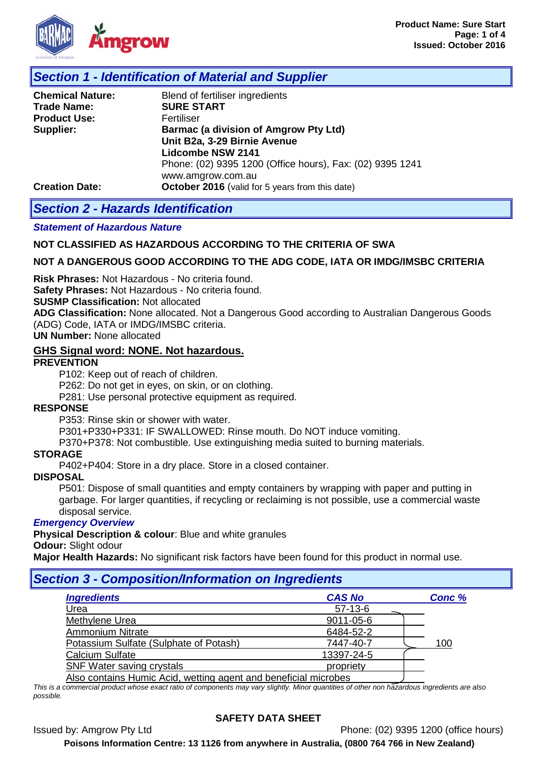

# *Section 1 - Identification of Material and Supplier*

| <b>Chemical Nature:</b> | Blend of fertiliser ingredients                           |  |  |  |
|-------------------------|-----------------------------------------------------------|--|--|--|
| <b>Trade Name:</b>      | <b>SURE START</b>                                         |  |  |  |
| <b>Product Use:</b>     | Fertiliser                                                |  |  |  |
| Supplier:               | <b>Barmac (a division of Amgrow Pty Ltd)</b>              |  |  |  |
|                         | Unit B2a, 3-29 Birnie Avenue                              |  |  |  |
|                         | <b>Lidcombe NSW 2141</b>                                  |  |  |  |
|                         | Phone: (02) 9395 1200 (Office hours), Fax: (02) 9395 1241 |  |  |  |
|                         | www.amgrow.com.au                                         |  |  |  |
| <b>Creation Date:</b>   | October 2016 (valid for 5 years from this date)           |  |  |  |

## *Section 2 - Hazards Identification*

#### *Statement of Hazardous Nature*

### **NOT CLASSIFIED AS HAZARDOUS ACCORDING TO THE CRITERIA OF SWA**

### **NOT A DANGEROUS GOOD ACCORDING TO THE ADG CODE, IATA OR IMDG/IMSBC CRITERIA**

**Risk Phrases:** Not Hazardous - No criteria found.

**Safety Phrases:** Not Hazardous - No criteria found.

**SUSMP Classification:** Not allocated

**ADG Classification:** None allocated. Not a Dangerous Good according to Australian Dangerous Goods (ADG) Code, IATA or IMDG/IMSBC criteria.

**UN Number:** None allocated

## **GHS Signal word: NONE. Not hazardous.**

#### **PREVENTION**

P102: Keep out of reach of children.

P262: Do not get in eyes, on skin, or on clothing.

P281: Use personal protective equipment as required.

#### **RESPONSE**

P353: Rinse skin or shower with water.

P301+P330+P331: IF SWALLOWED: Rinse mouth. Do NOT induce vomiting.

P370+P378: Not combustible. Use extinguishing media suited to burning materials.

#### **STORAGE**

P402+P404: Store in a dry place. Store in a closed container.

#### **DISPOSAL**

P501: Dispose of small quantities and empty containers by wrapping with paper and putting in garbage. For larger quantities, if recycling or reclaiming is not possible, use a commercial waste disposal service.

### *Emergency Overview*

**Physical Description & colour**: Blue and white granules

**Odour:** Slight odour

**Major Health Hazards:** No significant risk factors have been found for this product in normal use.

## *Section 3 - Composition/Information on Ingredients*

| <b>Ingredients</b>                                              | <b>CAS No</b> | Conc % |
|-----------------------------------------------------------------|---------------|--------|
| Urea                                                            | $57-13-6$     |        |
| Methylene Urea                                                  | 9011-05-6     |        |
| <b>Ammonium Nitrate</b>                                         | 6484-52-2     |        |
| Potassium Sulfate (Sulphate of Potash)                          | 7447-40-7     | 100    |
| Calcium Sulfate                                                 | 13397-24-5    |        |
| SNF Water saving crystals                                       | propriety     |        |
| Also contains Humic Acid, wetting agent and beneficial microbes |               |        |

*This is a commercial product whose exact ratio of components may vary slightly. Minor quantities of other non hazardous ingredients are also possible.*

## **SAFETY DATA SHEET**

Issued by: Amgrow Pty Ltd Phone: (02) 9395 1200 (office hours)

**Poisons Information Centre: 13 1126 from anywhere in Australia, (0800 764 766 in New Zealand)**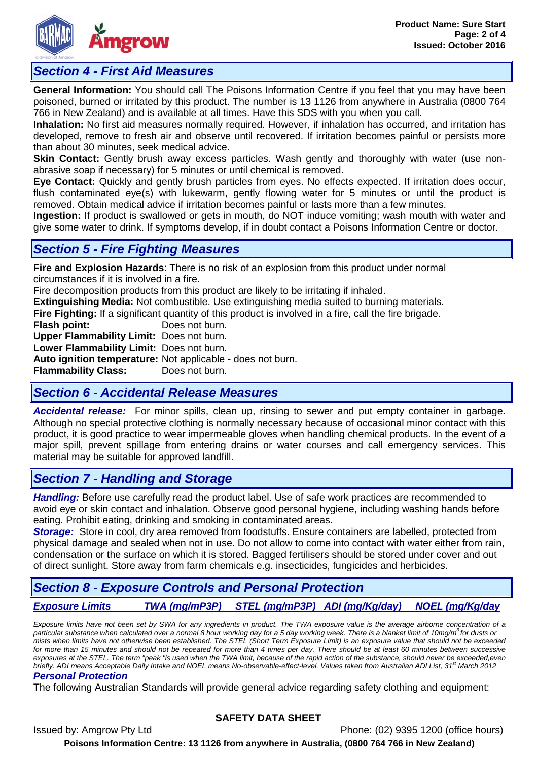

# *Section 4 - First Aid Measures*

**General Information:** You should call The Poisons Information Centre if you feel that you may have been poisoned, burned or irritated by this product. The number is 13 1126 from anywhere in Australia (0800 764 766 in New Zealand) and is available at all times. Have this SDS with you when you call.

**Inhalation:** No first aid measures normally required. However, if inhalation has occurred, and irritation has developed, remove to fresh air and observe until recovered. If irritation becomes painful or persists more than about 30 minutes, seek medical advice.

**Skin Contact:** Gently brush away excess particles. Wash gently and thoroughly with water (use nonabrasive soap if necessary) for 5 minutes or until chemical is removed.

**Eye Contact:** Quickly and gently brush particles from eyes. No effects expected. If irritation does occur, flush contaminated eye(s) with lukewarm, gently flowing water for 5 minutes or until the product is removed. Obtain medical advice if irritation becomes painful or lasts more than a few minutes.

**Ingestion:** If product is swallowed or gets in mouth, do NOT induce vomiting; wash mouth with water and give some water to drink. If symptoms develop, if in doubt contact a Poisons Information Centre or doctor.

# *Section 5 - Fire Fighting Measures*

**Fire and Explosion Hazards**: There is no risk of an explosion from this product under normal circumstances if it is involved in a fire.

Fire decomposition products from this product are likely to be irritating if inhaled.

**Extinguishing Media:** Not combustible. Use extinguishing media suited to burning materials.

**Fire Fighting:** If a significant quantity of this product is involved in a fire, call the fire brigade.

**Flash point:** Does not burn.

**Upper Flammability Limit:** Does not burn.

**Lower Flammability Limit:** Does not burn.

**Auto ignition temperature:** Not applicable - does not burn.

**Flammability Class:** 

# *Section 6 - Accidental Release Measures*

*Accidental release:* For minor spills, clean up, rinsing to sewer and put empty container in garbage. Although no special protective clothing is normally necessary because of occasional minor contact with this product, it is good practice to wear impermeable gloves when handling chemical products. In the event of a major spill, prevent spillage from entering drains or water courses and call emergency services. This material may be suitable for approved landfill.

# *Section 7 - Handling and Storage*

*Handling:* Before use carefully read the product label. Use of safe work practices are recommended to avoid eye or skin contact and inhalation. Observe good personal hygiene, including washing hands before eating. Prohibit eating, drinking and smoking in contaminated areas.

*Storage:* Store in cool, dry area removed from foodstuffs. Ensure containers are labelled, protected from physical damage and sealed when not in use. Do not allow to come into contact with water either from rain, condensation or the surface on which it is stored. Bagged fertilisers should be stored under cover and out of direct sunlight. Store away from farm chemicals e.g. insecticides, fungicides and herbicides.

# *Section 8 - Exposure Controls and Personal Protection*

*Exposure Limits TWA (mg/mP3P) STEL (mg/mP3P) ADI (mg/Kg/day) NOEL (mg/Kg/day*

*Exposure limits have not been set by SWA for any ingredients in product. The TWA exposure value is the average airborne concentration of a particular substance when calculated over a normal 8 hour working day for a 5 day working week. There is a blanket limit of 10mg/m3 for dusts or mists when limits have not otherwise been established. The STEL (Short Term Exposure Limit) is an exposure value that should not be exceeded*  for more than 15 minutes and should not be repeated for more than 4 times per day. There should be at least 60 minutes between successive *exposures at the STEL. The term "peak "is used when the TWA limit, because of the rapid action of the substance, should never be exceeded,even briefly. ADI means Acceptable Daily Intake and NOEL means No-observable-effect-level. Values taken from Australian ADI List, 31<sup>st</sup> March 2012* 

## *Personal Protection*

The following Australian Standards will provide general advice regarding safety clothing and equipment:

## **SAFETY DATA SHEET**

Issued by: Amgrow Pty Ltd Phone: (02) 9395 1200 (office hours) **Poisons Information Centre: 13 1126 from anywhere in Australia, (0800 764 766 in New Zealand)**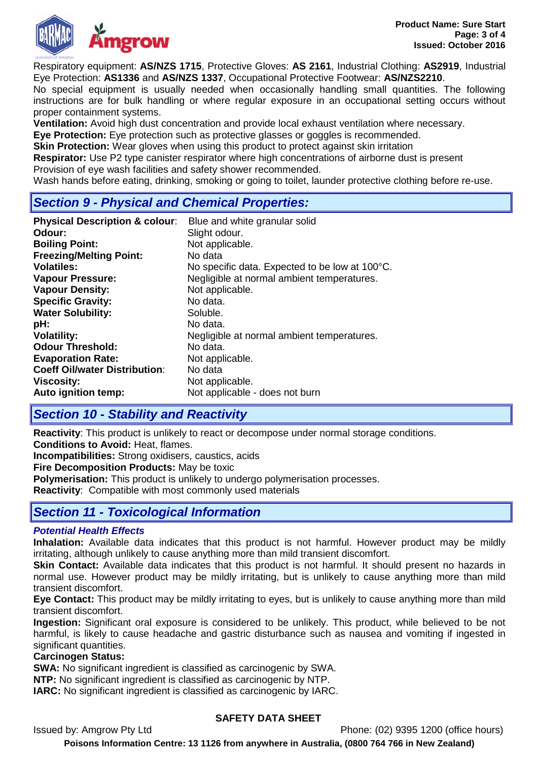

Respiratory equipment: **AS/NZS 1715**, Protective Gloves: **AS 2161**, Industrial Clothing: **AS2919**, Industrial Eye Protection: **AS1336** and **AS/NZS 1337**, Occupational Protective Footwear: **AS/NZS2210**.

No special equipment is usually needed when occasionally handling small quantities. The following instructions are for bulk handling or where regular exposure in an occupational setting occurs without proper containment systems.

**Ventilation:** Avoid high dust concentration and provide local exhaust ventilation where necessary.

**Eye Protection:** Eye protection such as protective glasses or goggles is recommended.

**Skin Protection:** Wear gloves when using this product to protect against skin irritation

**Respirator:** Use P2 type canister respirator where high concentrations of airborne dust is present Provision of eye wash facilities and safety shower recommended.

Wash hands before eating, drinking, smoking or going to toilet, launder protective clothing before re-use.

# *Section 9 - Physical and Chemical Properties:*

| <b>Physical Description &amp; colour:</b> | Blue and white granular solid                  |
|-------------------------------------------|------------------------------------------------|
| Odour:                                    | Slight odour.                                  |
| <b>Boiling Point:</b>                     | Not applicable.                                |
| <b>Freezing/Melting Point:</b>            | No data                                        |
| <b>Volatiles:</b>                         | No specific data. Expected to be low at 100°C. |
| <b>Vapour Pressure:</b>                   | Negligible at normal ambient temperatures.     |
| <b>Vapour Density:</b>                    | Not applicable.                                |
| <b>Specific Gravity:</b>                  | No data.                                       |
| <b>Water Solubility:</b>                  | Soluble.                                       |
| pH:                                       | No data.                                       |
| <b>Volatility:</b>                        | Negligible at normal ambient temperatures.     |
| <b>Odour Threshold:</b>                   | No data.                                       |
| <b>Evaporation Rate:</b>                  | Not applicable.                                |
| <b>Coeff Oil/water Distribution:</b>      | No data                                        |
| <b>Viscosity:</b>                         | Not applicable.                                |
| Auto ignition temp:                       | Not applicable - does not burn                 |

# *Section 10 - Stability and Reactivity*

**Reactivity**: This product is unlikely to react or decompose under normal storage conditions.

**Conditions to Avoid:** Heat, flames.

**Incompatibilities:** Strong oxidisers, caustics, acids

**Fire Decomposition Products:** May be toxic

**Polymerisation:** This product is unlikely to undergo polymerisation processes.

**Reactivity**: Compatible with most commonly used materials

# *Section 11 - Toxicological Information*

## *Potential Health Effects*

**Inhalation:** Available data indicates that this product is not harmful. However product may be mildly irritating, although unlikely to cause anything more than mild transient discomfort.

**Skin Contact:** Available data indicates that this product is not harmful. It should present no hazards in normal use. However product may be mildly irritating, but is unlikely to cause anything more than mild transient discomfort.

**Eye Contact:** This product may be mildly irritating to eyes, but is unlikely to cause anything more than mild transient discomfort.

**Ingestion:** Significant oral exposure is considered to be unlikely. This product, while believed to be not harmful, is likely to cause headache and gastric disturbance such as nausea and vomiting if ingested in significant quantities.

## **Carcinogen Status:**

**SWA:** No significant ingredient is classified as carcinogenic by SWA.

**NTP:** No significant ingredient is classified as carcinogenic by NTP.

**IARC:** No significant ingredient is classified as carcinogenic by IARC.

## **SAFETY DATA SHEET**

Issued by: Amgrow Pty Ltd Phone: (02) 9395 1200 (office hours)

**Poisons Information Centre: 13 1126 from anywhere in Australia, (0800 764 766 in New Zealand)**